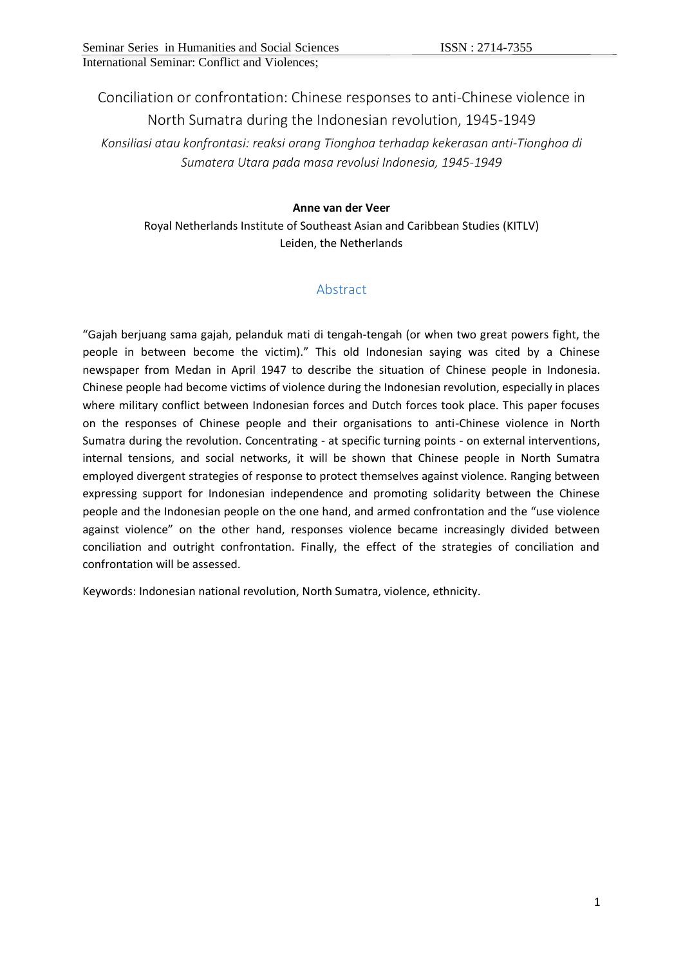Conciliation or confrontation: Chinese responses to anti-Chinese violence in North Sumatra during the Indonesian revolution, 1945-1949

*Konsiliasi atau konfrontasi: reaksi orang Tionghoa terhadap kekerasan anti-Tionghoa di Sumatera Utara pada masa revolusi Indonesia, 1945-1949*

#### **Anne van der Veer**

Royal Netherlands Institute of Southeast Asian and Caribbean Studies (KITLV) Leiden, the Netherlands

# Abstract

"Gajah berjuang sama gajah, pelanduk mati di tengah-tengah (or when two great powers fight, the people in between become the victim)." This old Indonesian saying was cited by a Chinese newspaper from Medan in April 1947 to describe the situation of Chinese people in Indonesia. Chinese people had become victims of violence during the Indonesian revolution, especially in places where military conflict between Indonesian forces and Dutch forces took place. This paper focuses on the responses of Chinese people and their organisations to anti-Chinese violence in North Sumatra during the revolution. Concentrating - at specific turning points - on external interventions, internal tensions, and social networks, it will be shown that Chinese people in North Sumatra employed divergent strategies of response to protect themselves against violence. Ranging between expressing support for Indonesian independence and promoting solidarity between the Chinese people and the Indonesian people on the one hand, and armed confrontation and the "use violence against violence" on the other hand, responses violence became increasingly divided between conciliation and outright confrontation. Finally, the effect of the strategies of conciliation and confrontation will be assessed.

Keywords: Indonesian national revolution, North Sumatra, violence, ethnicity.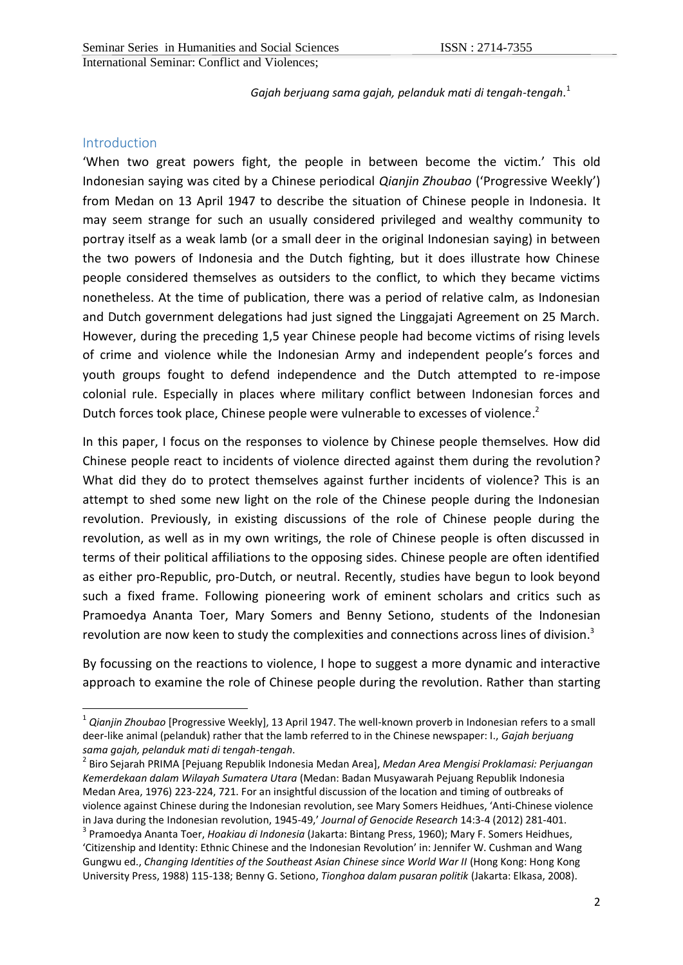*Gajah berjuang sama gajah, pelanduk mati di tengah-tengah*. 1

## Introduction

1

'When two great powers fight, the people in between become the victim.' This old Indonesian saying was cited by a Chinese periodical *Qianjin Zhoubao* ('Progressive Weekly') from Medan on 13 April 1947 to describe the situation of Chinese people in Indonesia. It may seem strange for such an usually considered privileged and wealthy community to portray itself as a weak lamb (or a small deer in the original Indonesian saying) in between the two powers of Indonesia and the Dutch fighting, but it does illustrate how Chinese people considered themselves as outsiders to the conflict, to which they became victims nonetheless. At the time of publication, there was a period of relative calm, as Indonesian and Dutch government delegations had just signed the Linggajati Agreement on 25 March. However, during the preceding 1,5 year Chinese people had become victims of rising levels of crime and violence while the Indonesian Army and independent people's forces and youth groups fought to defend independence and the Dutch attempted to re-impose colonial rule. Especially in places where military conflict between Indonesian forces and Dutch forces took place, Chinese people were vulnerable to excesses of violence. 2

In this paper, I focus on the responses to violence by Chinese people themselves. How did Chinese people react to incidents of violence directed against them during the revolution? What did they do to protect themselves against further incidents of violence? This is an attempt to shed some new light on the role of the Chinese people during the Indonesian revolution. Previously, in existing discussions of the role of Chinese people during the revolution, as well as in my own writings, the role of Chinese people is often discussed in terms of their political affiliations to the opposing sides. Chinese people are often identified as either pro-Republic, pro-Dutch, or neutral. Recently, studies have begun to look beyond such a fixed frame. Following pioneering work of eminent scholars and critics such as Pramoedya Ananta Toer, Mary Somers and Benny Setiono, students of the Indonesian revolution are now keen to study the complexities and connections across lines of division.<sup>3</sup>

By focussing on the reactions to violence, I hope to suggest a more dynamic and interactive approach to examine the role of Chinese people during the revolution. Rather than starting

<sup>1</sup> *Qianjin Zhoubao* [Progressive Weekly], 13 April 1947. The well-known proverb in Indonesian refers to a small deer-like animal (pelanduk) rather that the lamb referred to in the Chinese newspaper: I., *Gajah berjuang sama gajah, pelanduk mati di tengah-tengah*.

<sup>2</sup> Biro Sejarah PRIMA [Pejuang Republik Indonesia Medan Area], *Medan Area Mengisi Proklamasi: Perjuangan Kemerdekaan dalam Wilayah Sumatera Utara* (Medan: Badan Musyawarah Pejuang Republik Indonesia Medan Area, 1976) 223-224, 721. For an insightful discussion of the location and timing of outbreaks of violence against Chinese during the Indonesian revolution, see Mary Somers Heidhues, 'Anti-Chinese violence in Java during the Indonesian revolution, 1945-49,' *Journal of Genocide Research* 14:3-4 (2012) 281-401.

<sup>3</sup> Pramoedya Ananta Toer, *Hoakiau di Indonesia* (Jakarta: Bintang Press, 1960); Mary F. Somers Heidhues, 'Citizenship and Identity: Ethnic Chinese and the Indonesian Revolution' in: Jennifer W. Cushman and Wang Gungwu ed., *Changing Identities of the Southeast Asian Chinese since World War II* (Hong Kong: Hong Kong University Press, 1988) 115-138; Benny G. Setiono, *Tionghoa dalam pusaran politik* (Jakarta: Elkasa, 2008).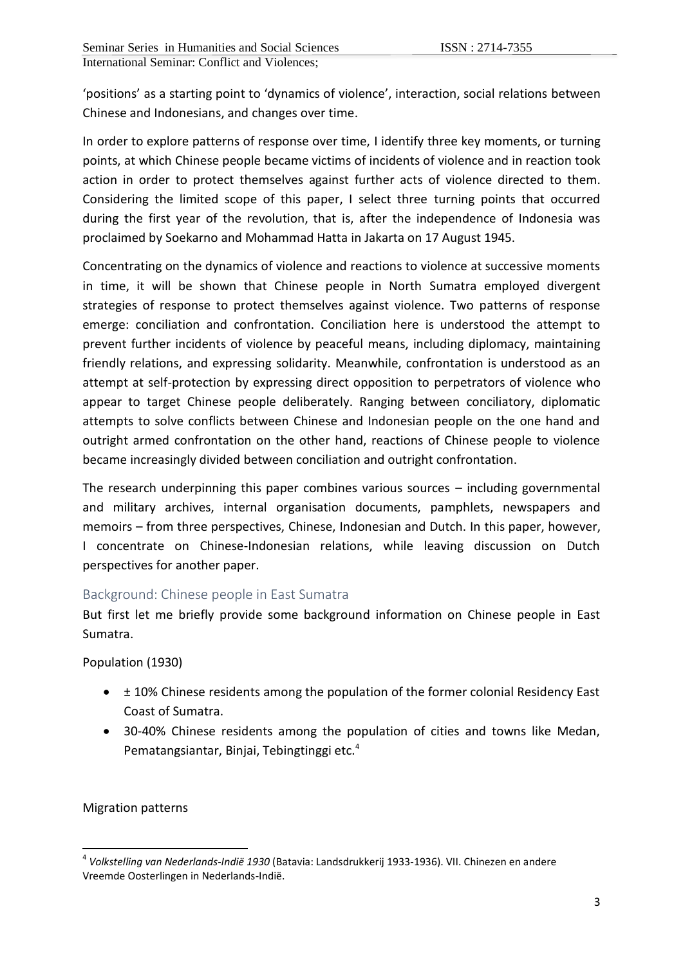'positions' as a starting point to 'dynamics of violence', interaction, social relations between Chinese and Indonesians, and changes over time.

In order to explore patterns of response over time, I identify three key moments, or turning points, at which Chinese people became victims of incidents of violence and in reaction took action in order to protect themselves against further acts of violence directed to them. Considering the limited scope of this paper, I select three turning points that occurred during the first year of the revolution, that is, after the independence of Indonesia was proclaimed by Soekarno and Mohammad Hatta in Jakarta on 17 August 1945.

Concentrating on the dynamics of violence and reactions to violence at successive moments in time, it will be shown that Chinese people in North Sumatra employed divergent strategies of response to protect themselves against violence. Two patterns of response emerge: conciliation and confrontation. Conciliation here is understood the attempt to prevent further incidents of violence by peaceful means, including diplomacy, maintaining friendly relations, and expressing solidarity. Meanwhile, confrontation is understood as an attempt at self-protection by expressing direct opposition to perpetrators of violence who appear to target Chinese people deliberately. Ranging between conciliatory, diplomatic attempts to solve conflicts between Chinese and Indonesian people on the one hand and outright armed confrontation on the other hand, reactions of Chinese people to violence became increasingly divided between conciliation and outright confrontation.

The research underpinning this paper combines various sources – including governmental and military archives, internal organisation documents, pamphlets, newspapers and memoirs – from three perspectives, Chinese, Indonesian and Dutch. In this paper, however, I concentrate on Chinese-Indonesian relations, while leaving discussion on Dutch perspectives for another paper.

## Background: Chinese people in East Sumatra

But first let me briefly provide some background information on Chinese people in East Sumatra.

Population (1930)

- $\bullet$   $\pm$  10% Chinese residents among the population of the former colonial Residency East Coast of Sumatra.
- 30-40% Chinese residents among the population of cities and towns like Medan, Pematangsiantar, Binjai, Tebingtinggi etc.<sup>4</sup>

Migration patterns

<sup>1</sup> 4 *Volkstelling van Nederlands-Indië 1930* (Batavia: Landsdrukkerij 1933-1936). VII. Chinezen en andere Vreemde Oosterlingen in Nederlands-Indië.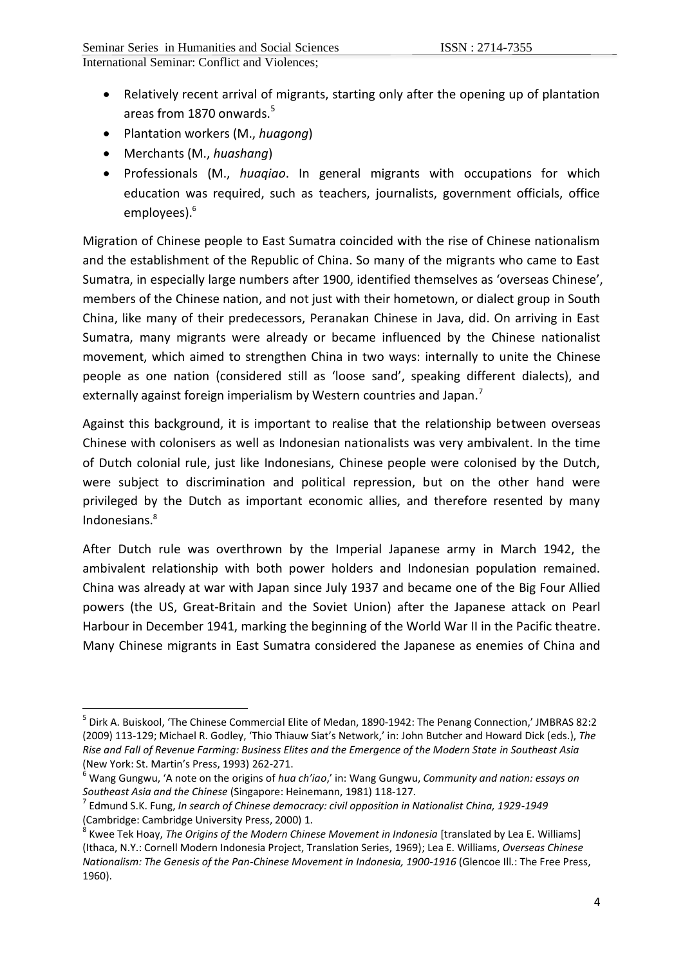- Relatively recent arrival of migrants, starting only after the opening up of plantation areas from 1870 onwards. $5$
- Plantation workers (M., *huagong*)
- Merchants (M., *huashang*)

1

 Professionals (M., *huaqiao*. In general migrants with occupations for which education was required, such as teachers, journalists, government officials, office employees). 6

Migration of Chinese people to East Sumatra coincided with the rise of Chinese nationalism and the establishment of the Republic of China. So many of the migrants who came to East Sumatra, in especially large numbers after 1900, identified themselves as 'overseas Chinese', members of the Chinese nation, and not just with their hometown, or dialect group in South China, like many of their predecessors, Peranakan Chinese in Java, did. On arriving in East Sumatra, many migrants were already or became influenced by the Chinese nationalist movement, which aimed to strengthen China in two ways: internally to unite the Chinese people as one nation (considered still as 'loose sand', speaking different dialects), and externally against foreign imperialism by Western countries and Japan.<sup>7</sup>

Against this background, it is important to realise that the relationship between overseas Chinese with colonisers as well as Indonesian nationalists was very ambivalent. In the time of Dutch colonial rule, just like Indonesians, Chinese people were colonised by the Dutch, were subject to discrimination and political repression, but on the other hand were privileged by the Dutch as important economic allies, and therefore resented by many Indonesians.<sup>8</sup>

After Dutch rule was overthrown by the Imperial Japanese army in March 1942, the ambivalent relationship with both power holders and Indonesian population remained. China was already at war with Japan since July 1937 and became one of the Big Four Allied powers (the US, Great-Britain and the Soviet Union) after the Japanese attack on Pearl Harbour in December 1941, marking the beginning of the World War II in the Pacific theatre. Many Chinese migrants in East Sumatra considered the Japanese as enemies of China and

<sup>5</sup> Dirk A. Buiskool, 'The Chinese Commercial Elite of Medan, 1890-1942: The Penang Connection,' JMBRAS 82:2 (2009) 113-129; Michael R. Godley, 'Thio Thiauw Siat's Network,' in: John Butcher and Howard Dick (eds.), *The Rise and Fall of Revenue Farming: Business Elites and the Emergence of the Modern State in Southeast Asia* (New York: St. Martin's Press, 1993) 262-271.

<sup>6</sup> Wang Gungwu, 'A note on the origins of *hua ch'iao*,' in: Wang Gungwu, *Community and nation: essays on Southeast Asia and the Chinese* (Singapore: Heinemann, 1981) 118-127.

<sup>7</sup> Edmund S.K. Fung, *In search of Chinese democracy: civil opposition in Nationalist China, 1929-1949*  (Cambridge: Cambridge University Press, 2000) 1.<br><sup>8</sup> Kuses Tek Haay, The Origins of the Madern China

Kwee Tek Hoay, *The Origins of the Modern Chinese Movement in Indonesia* [translated by Lea E. Williams] (Ithaca, N.Y.: Cornell Modern Indonesia Project, Translation Series, 1969); Lea E. Williams, *Overseas Chinese Nationalism: The Genesis of the Pan-Chinese Movement in Indonesia, 1900-1916* (Glencoe Ill.: The Free Press, 1960).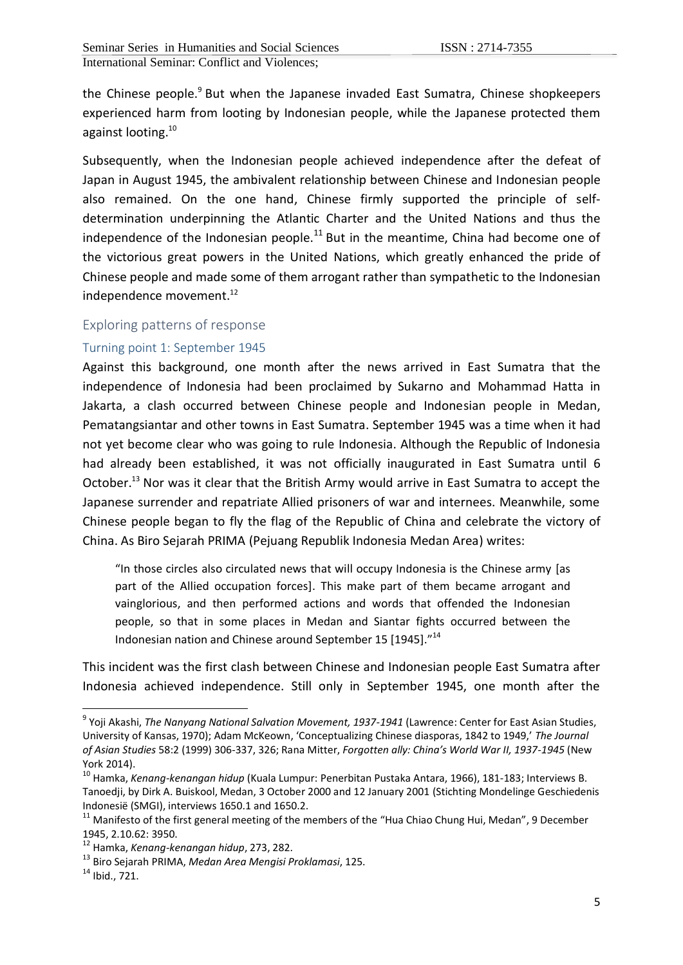the Chinese people.<sup>9</sup> But when the Japanese invaded East Sumatra, Chinese shopkeepers experienced harm from looting by Indonesian people, while the Japanese protected them against looting. 10

Subsequently, when the Indonesian people achieved independence after the defeat of Japan in August 1945, the ambivalent relationship between Chinese and Indonesian people also remained. On the one hand, Chinese firmly supported the principle of selfdetermination underpinning the Atlantic Charter and the United Nations and thus the independence of the Indonesian people.<sup>11</sup> But in the meantime, China had become one of the victorious great powers in the United Nations, which greatly enhanced the pride of Chinese people and made some of them arrogant rather than sympathetic to the Indonesian independence movement. 12

### Exploring patterns of response

### Turning point 1: September 1945

Against this background, one month after the news arrived in East Sumatra that the independence of Indonesia had been proclaimed by Sukarno and Mohammad Hatta in Jakarta, a clash occurred between Chinese people and Indonesian people in Medan, Pematangsiantar and other towns in East Sumatra. September 1945 was a time when it had not yet become clear who was going to rule Indonesia. Although the Republic of Indonesia had already been established, it was not officially inaugurated in East Sumatra until 6 October.<sup>13</sup> Nor was it clear that the British Army would arrive in East Sumatra to accept the Japanese surrender and repatriate Allied prisoners of war and internees. Meanwhile, some Chinese people began to fly the flag of the Republic of China and celebrate the victory of China. As Biro Sejarah PRIMA (Pejuang Republik Indonesia Medan Area) writes:

"In those circles also circulated news that will occupy Indonesia is the Chinese army [as part of the Allied occupation forces]. This make part of them became arrogant and vainglorious, and then performed actions and words that offended the Indonesian people, so that in some places in Medan and Siantar fights occurred between the Indonesian nation and Chinese around September 15 [1945]."<sup>14</sup>

This incident was the first clash between Chinese and Indonesian people East Sumatra after Indonesia achieved independence. Still only in September 1945, one month after the

<sup>9</sup> Yoji Akashi, *The Nanyang National Salvation Movement, 1937-1941* (Lawrence: Center for East Asian Studies, University of Kansas, 1970); Adam McKeown, 'Conceptualizing Chinese diasporas, 1842 to 1949,' *The Journal of Asian Studies* 58:2 (1999) 306-337, 326; Rana Mitter, *Forgotten ally: China's World War II, 1937-1945* (New York 2014).

<sup>10</sup> Hamka, *Kenang-kenangan hidup* (Kuala Lumpur: Penerbitan Pustaka Antara, 1966), 181-183; Interviews B. Tanoedji, by Dirk A. Buiskool, Medan, 3 October 2000 and 12 January 2001 (Stichting Mondelinge Geschiedenis Indonesië (SMGI), interviews 1650.1 and 1650.2.

<sup>&</sup>lt;sup>11</sup> Manifesto of the first general meeting of the members of the "Hua Chiao Chung Hui, Medan", 9 December 1945, 2.10.62: 3950.

<sup>12</sup> Hamka, *Kenang-kenangan hidup*, 273, 282.

<sup>13</sup> Biro Sejarah PRIMA, *Medan Area Mengisi Proklamasi*, 125.

 $14$  Ibid., 721.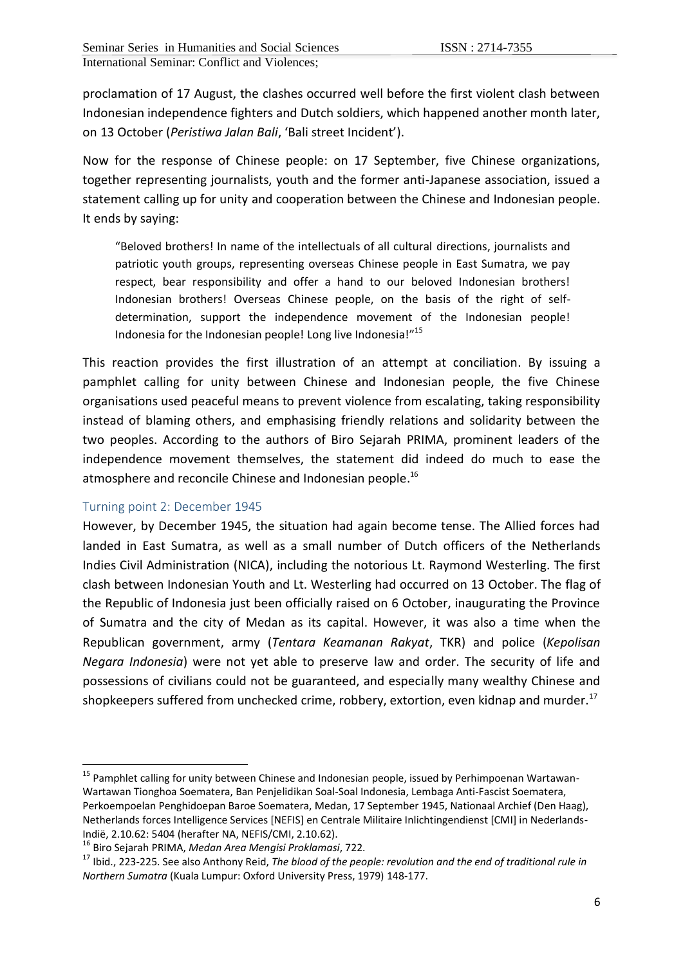proclamation of 17 August, the clashes occurred well before the first violent clash between Indonesian independence fighters and Dutch soldiers, which happened another month later, on 13 October (*Peristiwa Jalan Bali*, 'Bali street Incident').

Now for the response of Chinese people: on 17 September, five Chinese organizations, together representing journalists, youth and the former anti-Japanese association, issued a statement calling up for unity and cooperation between the Chinese and Indonesian people. It ends by saying:

"Beloved brothers! In name of the intellectuals of all cultural directions, journalists and patriotic youth groups, representing overseas Chinese people in East Sumatra, we pay respect, bear responsibility and offer a hand to our beloved Indonesian brothers! Indonesian brothers! Overseas Chinese people, on the basis of the right of selfdetermination, support the independence movement of the Indonesian people! Indonesia for the Indonesian people! Long live Indonesia!"<sup>15</sup>

This reaction provides the first illustration of an attempt at conciliation. By issuing a pamphlet calling for unity between Chinese and Indonesian people, the five Chinese organisations used peaceful means to prevent violence from escalating, taking responsibility instead of blaming others, and emphasising friendly relations and solidarity between the two peoples. According to the authors of Biro Sejarah PRIMA, prominent leaders of the independence movement themselves, the statement did indeed do much to ease the atmosphere and reconcile Chinese and Indonesian people.<sup>16</sup>

#### Turning point 2: December 1945

1

However, by December 1945, the situation had again become tense. The Allied forces had landed in East Sumatra, as well as a small number of Dutch officers of the Netherlands Indies Civil Administration (NICA), including the notorious Lt. Raymond Westerling. The first clash between Indonesian Youth and Lt. Westerling had occurred on 13 October. The flag of the Republic of Indonesia just been officially raised on 6 October, inaugurating the Province of Sumatra and the city of Medan as its capital. However, it was also a time when the Republican government, army (*Tentara Keamanan Rakyat*, TKR) and police (*Kepolisan Negara Indonesia*) were not yet able to preserve law and order. The security of life and possessions of civilians could not be guaranteed, and especially many wealthy Chinese and shopkeepers suffered from unchecked crime, robbery, extortion, even kidnap and murder. $^{17}$ 

<sup>&</sup>lt;sup>15</sup> Pamphlet calling for unity between Chinese and Indonesian people, issued by Perhimpoenan Wartawan-Wartawan Tionghoa Soematera, Ban Penjelidikan Soal-Soal Indonesia, Lembaga Anti-Fascist Soematera, Perkoempoelan Penghidoepan Baroe Soematera, Medan, 17 September 1945, Nationaal Archief (Den Haag), Netherlands forces Intelligence Services [NEFIS] en Centrale Militaire Inlichtingendienst [CMI] in Nederlands-Indië, 2.10.62: 5404 (herafter NA, NEFIS/CMI, 2.10.62).

<sup>16</sup> Biro Sejarah PRIMA, *Medan Area Mengisi Proklamasi*, 722.

<sup>17</sup> Ibid., 223-225. See also Anthony Reid, *The blood of the people: revolution and the end of traditional rule in Northern Sumatra* (Kuala Lumpur: Oxford University Press, 1979) 148-177.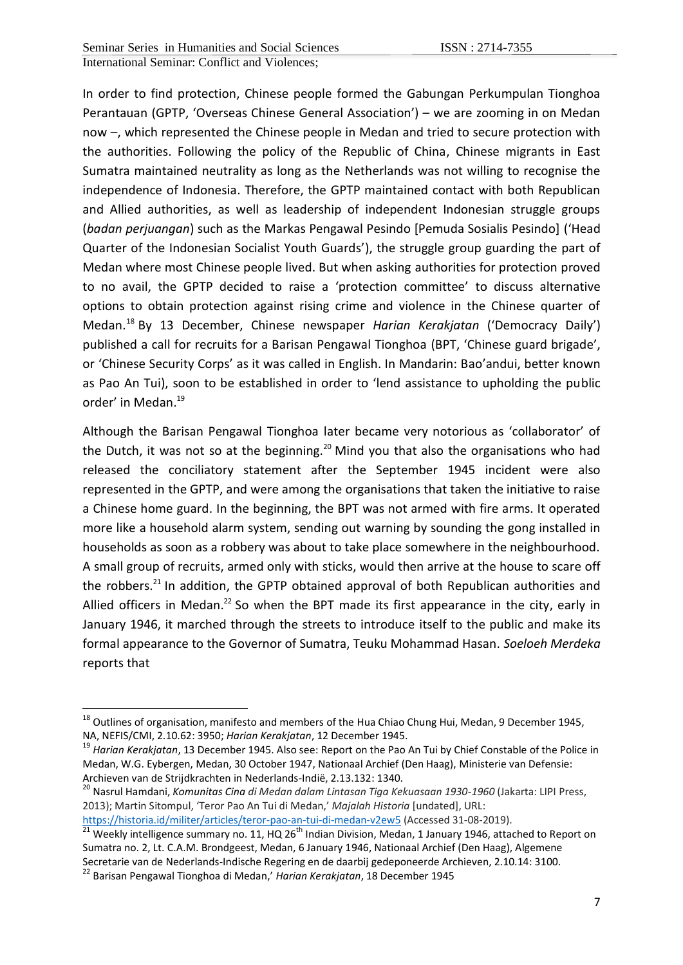In order to find protection, Chinese people formed the Gabungan Perkumpulan Tionghoa Perantauan (GPTP, 'Overseas Chinese General Association') – we are zooming in on Medan now –, which represented the Chinese people in Medan and tried to secure protection with the authorities. Following the policy of the Republic of China, Chinese migrants in East Sumatra maintained neutrality as long as the Netherlands was not willing to recognise the independence of Indonesia. Therefore, the GPTP maintained contact with both Republican and Allied authorities, as well as leadership of independent Indonesian struggle groups (*badan perjuangan*) such as the Markas Pengawal Pesindo [Pemuda Sosialis Pesindo] ('Head Quarter of the Indonesian Socialist Youth Guards'), the struggle group guarding the part of Medan where most Chinese people lived. But when asking authorities for protection proved to no avail, the GPTP decided to raise a 'protection committee' to discuss alternative options to obtain protection against rising crime and violence in the Chinese quarter of Medan.<sup>18</sup> By 13 December, Chinese newspaper *Harian Kerakjatan* ('Democracy Daily') published a call for recruits for a Barisan Pengawal Tionghoa (BPT, 'Chinese guard brigade', or 'Chinese Security Corps' as it was called in English. In Mandarin: Bao'andui, better known as Pao An Tui), soon to be established in order to 'lend assistance to upholding the public order' in Medan.<sup>19</sup>

Although the Barisan Pengawal Tionghoa later became very notorious as 'collaborator' of the Dutch, it was not so at the beginning.<sup>20</sup> Mind you that also the organisations who had released the conciliatory statement after the September 1945 incident were also represented in the GPTP, and were among the organisations that taken the initiative to raise a Chinese home guard. In the beginning, the BPT was not armed with fire arms. It operated more like a household alarm system, sending out warning by sounding the gong installed in households as soon as a robbery was about to take place somewhere in the neighbourhood. A small group of recruits, armed only with sticks, would then arrive at the house to scare off the robbers. $^{21}$  In addition, the GPTP obtained approval of both Republican authorities and Allied officers in Medan.<sup>22</sup> So when the BPT made its first appearance in the city, early in January 1946, it marched through the streets to introduce itself to the public and make its formal appearance to the Governor of Sumatra, Teuku Mohammad Hasan. *Soeloeh Merdeka* reports that

<sup>20</sup> Nasrul Hamdani, *Komunitas Cina di Medan dalam Lintasan Tiga Kekuasaan 1930-1960* (Jakarta: LIPI Press, 2013); Martin Sitompul, 'Teror Pao An Tui di Medan,' *Majalah Historia* [undated], URL:

 $^{18}$  Outlines of organisation, manifesto and members of the Hua Chiao Chung Hui, Medan, 9 December 1945, NA, NEFIS/CMI, 2.10.62: 3950; *Harian Kerakjatan*, 12 December 1945.

<sup>19</sup> *Harian Kerakjatan*, 13 December 1945. Also see: Report on the Pao An Tui by Chief Constable of the Police in Medan, W.G. Eybergen, Medan, 30 October 1947, Nationaal Archief (Den Haag), Ministerie van Defensie: Archieven van de Strijdkrachten in Nederlands-Indië, 2.13.132: 1340.

<https://historia.id/militer/articles/teror-pao-an-tui-di-medan-v2ew5> (Accessed 31-08-2019).

<sup>21</sup> Weekly intelligence summary no. 11, HQ 26<sup>th</sup> Indian Division, Medan, 1 January 1946, attached to Report on Sumatra no. 2, Lt. C.A.M. Brondgeest, Medan, 6 January 1946, Nationaal Archief (Den Haag), Algemene Secretarie van de Nederlands-Indische Regering en de daarbij gedeponeerde Archieven, 2.10.14: 3100.

<sup>22</sup> Barisan Pengawal Tionghoa di Medan,' *Harian Kerakjatan*, 18 December 1945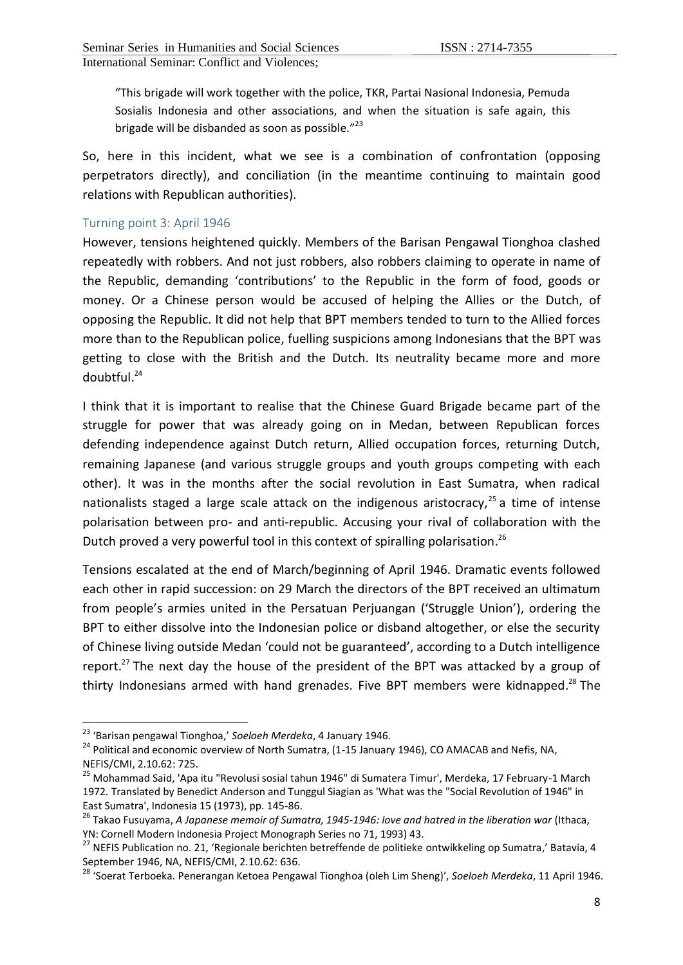"This brigade will work together with the police, TKR, Partai Nasional Indonesia, Pemuda Sosialis Indonesia and other associations, and when the situation is safe again, this brigade will be disbanded as soon as possible."<sup>23</sup>

So, here in this incident, what we see is a combination of confrontation (opposing perpetrators directly), and conciliation (in the meantime continuing to maintain good relations with Republican authorities).

### Turning point 3: April 1946

However, tensions heightened quickly. Members of the Barisan Pengawal Tionghoa clashed repeatedly with robbers. And not just robbers, also robbers claiming to operate in name of the Republic, demanding 'contributions' to the Republic in the form of food, goods or money. Or a Chinese person would be accused of helping the Allies or the Dutch, of opposing the Republic. It did not help that BPT members tended to turn to the Allied forces more than to the Republican police, fuelling suspicions among Indonesians that the BPT was getting to close with the British and the Dutch. Its neutrality became more and more doubtful. 24

I think that it is important to realise that the Chinese Guard Brigade became part of the struggle for power that was already going on in Medan, between Republican forces defending independence against Dutch return, Allied occupation forces, returning Dutch, remaining Japanese (and various struggle groups and youth groups competing with each other). It was in the months after the social revolution in East Sumatra, when radical nationalists staged a large scale attack on the indigenous aristocracy,<sup>25</sup> a time of intense polarisation between pro- and anti-republic. Accusing your rival of collaboration with the Dutch proved a very powerful tool in this context of spiralling polarisation.<sup>26</sup>

Tensions escalated at the end of March/beginning of April 1946. Dramatic events followed each other in rapid succession: on 29 March the directors of the BPT received an ultimatum from people's armies united in the Persatuan Perjuangan ('Struggle Union'), ordering the BPT to either dissolve into the Indonesian police or disband altogether, or else the security of Chinese living outside Medan 'could not be guaranteed', according to a Dutch intelligence report.<sup>27</sup> The next day the house of the president of the BPT was attacked by a group of thirty Indonesians armed with hand grenades. Five BPT members were kidnapped.<sup>28</sup> The

.

<sup>23</sup> 'Barisan pengawal Tionghoa,' *Soeloeh Merdeka*, 4 January 1946.

<sup>&</sup>lt;sup>24</sup> Political and economic overview of North Sumatra, (1-15 January 1946), CO AMACAB and Nefis, NA, NEFIS/CMI, 2.10.62: 725.

<sup>&</sup>lt;sup>25</sup> Mohammad Said, 'Apa itu "Revolusi sosial tahun 1946" di Sumatera Timur', Merdeka, 17 February-1 March 1972. Translated by Benedict Anderson and Tunggul Siagian as 'What was the "Social Revolution of 1946" in East Sumatra', Indonesia 15 (1973), pp. 145-86.

<sup>&</sup>lt;sup>26</sup> Takao Fusuyama, *A Japanese memoir of Sumatra, 1945-1946: love and hatred in the liberation war (Ithaca,* YN: Cornell Modern Indonesia Project Monograph Series no 71, 1993) 43.

<sup>&</sup>lt;sup>27</sup> NEFIS Publication no. 21, 'Regionale berichten betreffende de politieke ontwikkeling op Sumatra,' Batavia, 4 September 1946, NA, NEFIS/CMI, 2.10.62: 636.

<sup>28</sup> 'Soerat Terboeka. Penerangan Ketoea Pengawal Tionghoa (oleh Lim Sheng)', *Soeloeh Merdeka*, 11 April 1946.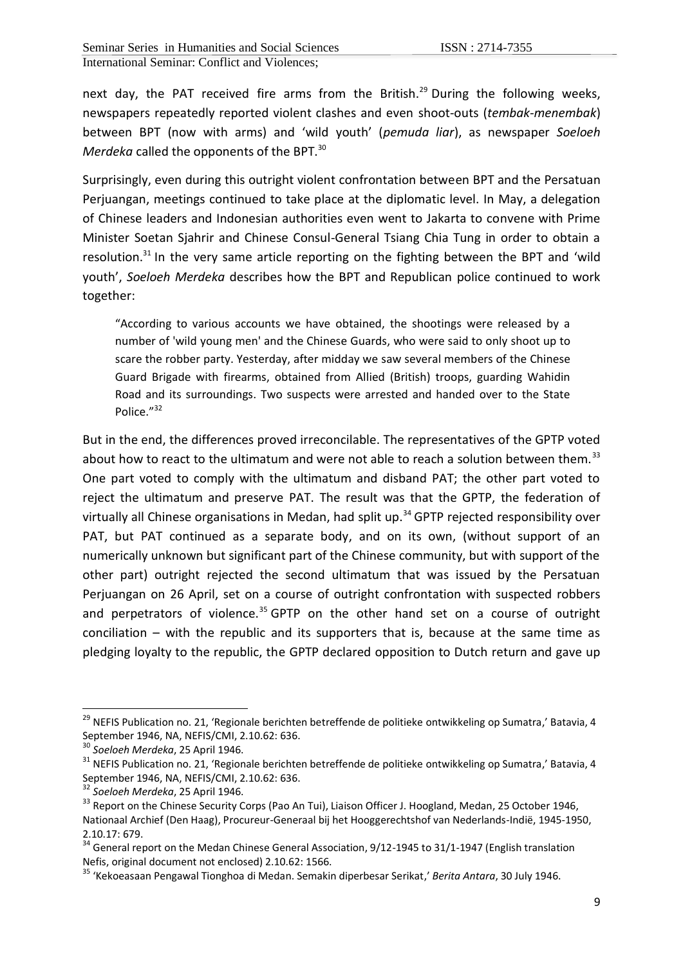next day, the PAT received fire arms from the British.<sup>29</sup> During the following weeks, newspapers repeatedly reported violent clashes and even shoot-outs (*tembak-menembak*) between BPT (now with arms) and 'wild youth' (*pemuda liar*), as newspaper *Soeloeh Merdeka* called the opponents of the BPT.<sup>30</sup>

Surprisingly, even during this outright violent confrontation between BPT and the Persatuan Perjuangan, meetings continued to take place at the diplomatic level. In May, a delegation of Chinese leaders and Indonesian authorities even went to Jakarta to convene with Prime Minister Soetan Sjahrir and Chinese Consul-General Tsiang Chia Tung in order to obtain a resolution. $31$  In the very same article reporting on the fighting between the BPT and 'wild youth', *Soeloeh Merdeka* describes how the BPT and Republican police continued to work together:

"According to various accounts we have obtained, the shootings were released by a number of 'wild young men' and the Chinese Guards, who were said to only shoot up to scare the robber party. Yesterday, after midday we saw several members of the Chinese Guard Brigade with firearms, obtained from Allied (British) troops, guarding Wahidin Road and its surroundings. Two suspects were arrested and handed over to the State Police."<sup>32</sup>

But in the end, the differences proved irreconcilable. The representatives of the GPTP voted about how to react to the ultimatum and were not able to reach a solution between them.<sup>33</sup> One part voted to comply with the ultimatum and disband PAT; the other part voted to reject the ultimatum and preserve PAT. The result was that the GPTP, the federation of virtually all Chinese organisations in Medan, had split up.<sup>34</sup> GPTP rejected responsibility over PAT, but PAT continued as a separate body, and on its own, (without support of an numerically unknown but significant part of the Chinese community, but with support of the other part) outright rejected the second ultimatum that was issued by the Persatuan Perjuangan on 26 April, set on a course of outright confrontation with suspected robbers and perpetrators of violence. $35$  GPTP on the other hand set on a course of outright conciliation – with the republic and its supporters that is, because at the same time as pledging loyalty to the republic, the GPTP declared opposition to Dutch return and gave up

<sup>&</sup>lt;sup>29</sup> NEFIS Publication no. 21, 'Regionale berichten betreffende de politieke ontwikkeling op Sumatra,' Batavia, 4 September 1946, NA, NEFIS/CMI, 2.10.62: 636.

<sup>30</sup> *Soeloeh Merdeka*, 25 April 1946.

<sup>&</sup>lt;sup>31</sup> NEFIS Publication no. 21, 'Regionale berichten betreffende de politieke ontwikkeling op Sumatra,' Batavia, 4 September 1946, NA, NEFIS/CMI, 2.10.62: 636.

<sup>32</sup> *Soeloeh Merdeka*, 25 April 1946.

<sup>&</sup>lt;sup>33</sup> Report on the Chinese Security Corps (Pao An Tui), Liaison Officer J. Hoogland, Medan, 25 October 1946, Nationaal Archief (Den Haag), Procureur-Generaal bij het Hooggerechtshof van Nederlands-Indië, 1945-1950, 2.10.17: 679.

 $34$  General report on the Medan Chinese General Association, 9/12-1945 to 31/1-1947 (English translation Nefis, original document not enclosed) 2.10.62: 1566.

<sup>35</sup> 'Kekoeasaan Pengawal Tionghoa di Medan. Semakin diperbesar Serikat,' *Berita Antara*, 30 July 1946.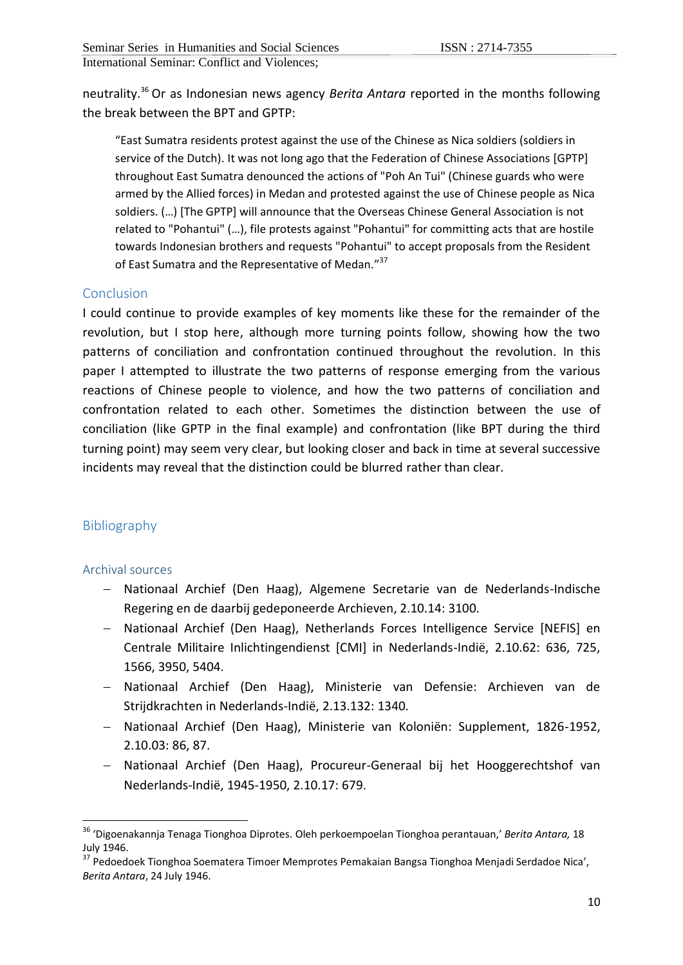neutrality.<sup>36</sup> Or as Indonesian news agency *Berita Antara* reported in the months following the break between the BPT and GPTP:

"East Sumatra residents protest against the use of the Chinese as Nica soldiers (soldiers in service of the Dutch). It was not long ago that the Federation of Chinese Associations [GPTP] throughout East Sumatra denounced the actions of "Poh An Tui" (Chinese guards who were armed by the Allied forces) in Medan and protested against the use of Chinese people as Nica soldiers. (...) [The GPTP] will announce that the Overseas Chinese General Association is not related to "Pohantui" (…), file protests against "Pohantui" for committing acts that are hostile towards Indonesian brothers and requests "Pohantui" to accept proposals from the Resident of East Sumatra and the Representative of Medan."<sup>37</sup>

## **Conclusion**

I could continue to provide examples of key moments like these for the remainder of the revolution, but I stop here, although more turning points follow, showing how the two patterns of conciliation and confrontation continued throughout the revolution. In this paper I attempted to illustrate the two patterns of response emerging from the various reactions of Chinese people to violence, and how the two patterns of conciliation and confrontation related to each other. Sometimes the distinction between the use of conciliation (like GPTP in the final example) and confrontation (like BPT during the third turning point) may seem very clear, but looking closer and back in time at several successive incidents may reveal that the distinction could be blurred rather than clear.

# Bibliography

#### Archival sources

- Nationaal Archief (Den Haag), Algemene Secretarie van de Nederlands-Indische Regering en de daarbij gedeponeerde Archieven, 2.10.14: 3100.
- Nationaal Archief (Den Haag), Netherlands Forces Intelligence Service [NEFIS] en Centrale Militaire Inlichtingendienst [CMI] in Nederlands-Indië, 2.10.62: 636, 725, 1566, 3950, 5404.
- Nationaal Archief (Den Haag), Ministerie van Defensie: Archieven van de Strijdkrachten in Nederlands-Indië, 2.13.132: 1340.
- Nationaal Archief (Den Haag), Ministerie van Koloniën: Supplement, 1826-1952, 2.10.03: 86, 87.
- Nationaal Archief (Den Haag), Procureur-Generaal bij het Hooggerechtshof van Nederlands-Indië, 1945-1950, 2.10.17: 679.

<sup>36</sup> 'Digoenakannja Tenaga Tionghoa Diprotes. Oleh perkoempoelan Tionghoa perantauan,' *Berita Antara,* 18 July 1946.

<sup>37</sup> Pedoedoek Tionghoa Soematera Timoer Memprotes Pemakaian Bangsa Tionghoa Menjadi Serdadoe Nica', *Berita Antara*, 24 July 1946.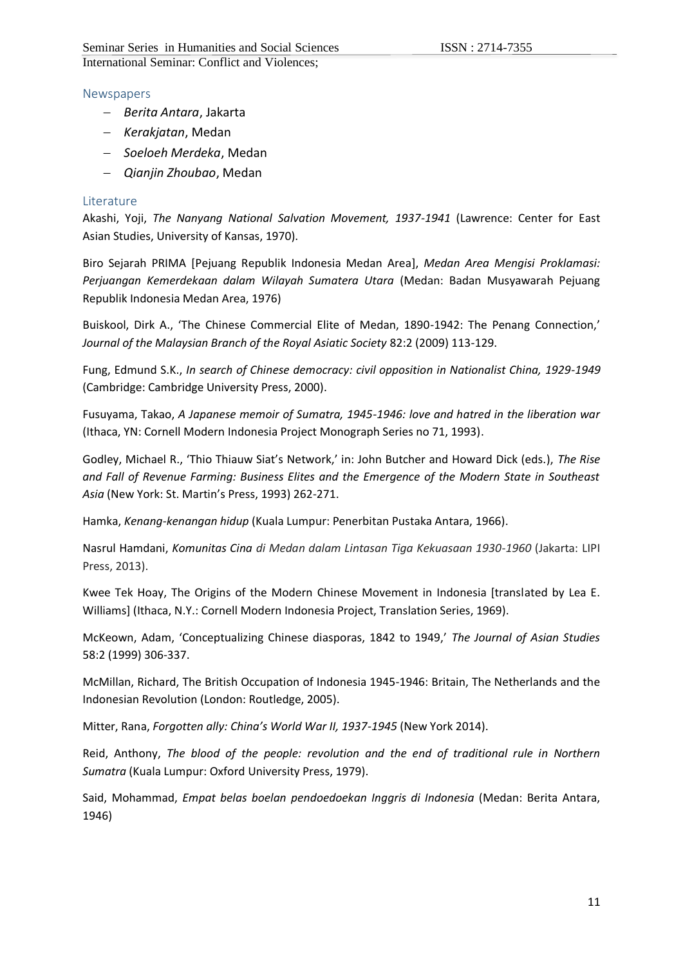#### Newspapers

- *Berita Antara*, Jakarta
- *Kerakjatan*, Medan
- *Soeloeh Merdeka*, Medan
- *Qianjin Zhoubao*, Medan

#### Literature

Akashi, Yoji, *The Nanyang National Salvation Movement, 1937-1941* (Lawrence: Center for East Asian Studies, University of Kansas, 1970).

Biro Sejarah PRIMA [Pejuang Republik Indonesia Medan Area], *Medan Area Mengisi Proklamasi: Perjuangan Kemerdekaan dalam Wilayah Sumatera Utara* (Medan: Badan Musyawarah Pejuang Republik Indonesia Medan Area, 1976)

Buiskool, Dirk A., 'The Chinese Commercial Elite of Medan, 1890-1942: The Penang Connection,' *Journal of the Malaysian Branch of the Royal Asiatic Society* 82:2 (2009) 113-129.

Fung, Edmund S.K., *In search of Chinese democracy: civil opposition in Nationalist China, 1929-1949*  (Cambridge: Cambridge University Press, 2000).

Fusuyama, Takao, *A Japanese memoir of Sumatra, 1945-1946: love and hatred in the liberation war*  (Ithaca, YN: Cornell Modern Indonesia Project Monograph Series no 71, 1993).

Godley, Michael R., 'Thio Thiauw Siat's Network,' in: John Butcher and Howard Dick (eds.), *The Rise and Fall of Revenue Farming: Business Elites and the Emergence of the Modern State in Southeast Asia* (New York: St. Martin's Press, 1993) 262-271.

Hamka, *Kenang-kenangan hidup* (Kuala Lumpur: Penerbitan Pustaka Antara, 1966).

Nasrul Hamdani, *Komunitas Cina di Medan dalam Lintasan Tiga Kekuasaan 1930-1960* (Jakarta: LIPI Press, 2013).

Kwee Tek Hoay, The Origins of the Modern Chinese Movement in Indonesia [translated by Lea E. Williams] (Ithaca, N.Y.: Cornell Modern Indonesia Project, Translation Series, 1969).

McKeown, Adam, 'Conceptualizing Chinese diasporas, 1842 to 1949,' *The Journal of Asian Studies* 58:2 (1999) 306-337.

McMillan, Richard, The British Occupation of Indonesia 1945-1946: Britain, The Netherlands and the Indonesian Revolution (London: Routledge, 2005).

Mitter, Rana, *Forgotten ally: China's World War II, 1937-1945* (New York 2014).

Reid, Anthony, *The blood of the people: revolution and the end of traditional rule in Northern Sumatra* (Kuala Lumpur: Oxford University Press, 1979).

Said, Mohammad, *Empat belas boelan pendoedoekan Inggris di Indonesia* (Medan: Berita Antara, 1946)